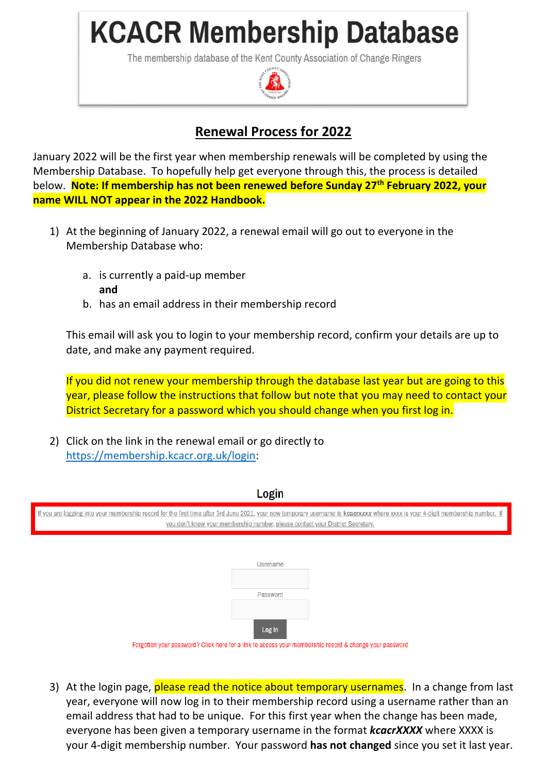**KCACR Membership Database** 

The membership database of the Kent County Association of Change Ringers



## **Renewal Process for 2022**

January 2022 will be the first year when membership renewals will be completed by using the Membership Database. To hopefully help get everyone through this, the process is detailed below. **Note: If membership has not been renewed before Sunday 27th February 2022, your name WILL NOT appear in the 2022 Handbook.**

- 1) At the beginning of January 2022, a renewal email will go out to everyone in the Membership Database who:
	- a. is currently a paid-up member **and**
	- b. has an email address in their membership record

This email will ask you to login to your membership record, confirm your details are up to date, and make any payment required.

If you did not renew your membership through the database last year but are going to this year, please follow the instructions that follow but note that you may need to contact your District Secretary for a password which you should change when you first log in.

2) Click on the link in the renewal email or go directly to [https://membership.kcacr.org.uk/login:](https://membership.kcacr.org.uk/login)



3) At the login page, please read the notice about temporary usernames. In a change from last year, everyone will now log in to their membership record using a username rather than an email address that had to be unique. For this first year when the change has been made, everyone has been given a temporary username in the format *kcacrXXXX* where XXXX is your 4-digit membership number. Your password **has not changed** since you set it last year.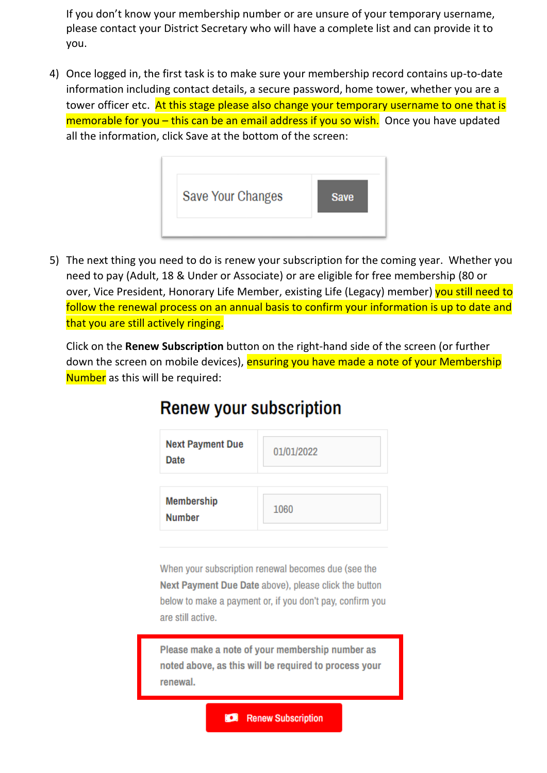If you don't know your membership number or are unsure of your temporary username, please contact your District Secretary who will have a complete list and can provide it to you.

4) Once logged in, the first task is to make sure your membership record contains up-to-date information including contact details, a secure password, home tower, whether you are a tower officer etc. At this stage please also change your temporary username to one that is memorable for you – this can be an email address if you so wish. Once you have updated all the information, click Save at the bottom of the screen:



5) The next thing you need to do is renew your subscription for the coming year. Whether you need to pay (Adult, 18 & Under or Associate) or are eligible for free membership (80 or over, Vice President, Honorary Life Member, existing Life (Legacy) member) you still need to follow the renewal process on an annual basis to confirm your information is up to date and that you are still actively ringing.

Click on the **Renew Subscription** button on the right-hand side of the screen (or further down the screen on mobile devices), **ensuring you have made a note of your Membership** Number as this will be required:

# **Renew your subscription**

| <b>Next Payment Due</b><br><b>Date</b> | 01/01/2022 |
|----------------------------------------|------------|
| <b>Membership</b><br><b>Number</b>     | 1060       |

When your subscription renewal becomes due (see the Next Payment Due Date above), please click the button below to make a payment or, if you don't pay, confirm you are still active.

Please make a note of your membership number as noted above, as this will be required to process your renewal.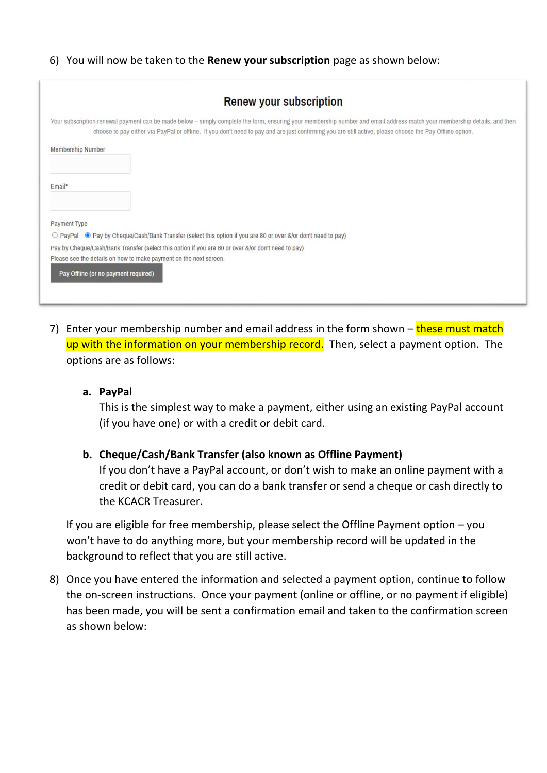6) You will now be taken to the **Renew your subscription** page as shown below:

| <b>Renew your subscription</b>                                                                                                                                                                                                                                                                                                        |  |  |
|---------------------------------------------------------------------------------------------------------------------------------------------------------------------------------------------------------------------------------------------------------------------------------------------------------------------------------------|--|--|
| Your subscription renewal payment can be made below – simply complete the form, ensuring your membership number and email address match your membership details, and then<br>choose to pay either via PayPal or offline. If you don't need to pay and are just confirming you are still active, please choose the Pay Offline option. |  |  |
| Membership Number                                                                                                                                                                                                                                                                                                                     |  |  |
| Email*                                                                                                                                                                                                                                                                                                                                |  |  |
| <b>Payment Type</b>                                                                                                                                                                                                                                                                                                                   |  |  |
| $\circ$ PayPal $\bullet$ Pay by Cheque/Cash/Bank Transfer (select this option if you are 80 or over &/or don't need to pay)<br>Pay by Cheque/Cash/Bank Transfer (select this option if you are 80 or over &/or don't need to pay)<br>Please see the details on how to make payment on the next screen.                                |  |  |
| Pay Offline (or no payment required)                                                                                                                                                                                                                                                                                                  |  |  |
|                                                                                                                                                                                                                                                                                                                                       |  |  |

7) Enter your membership number and email address in the form shown – these must match up with the information on your membership record. Then, select a payment option. The options are as follows:

#### **a. PayPal**

This is the simplest way to make a payment, either using an existing PayPal account (if you have one) or with a credit or debit card.

### **b. Cheque/Cash/Bank Transfer (also known as Offline Payment)**

If you don't have a PayPal account, or don't wish to make an online payment with a credit or debit card, you can do a bank transfer or send a cheque or cash directly to the KCACR Treasurer.

If you are eligible for free membership, please select the Offline Payment option – you won't have to do anything more, but your membership record will be updated in the background to reflect that you are still active.

8) Once you have entered the information and selected a payment option, continue to follow the on-screen instructions. Once your payment (online or offline, or no payment if eligible) has been made, you will be sent a confirmation email and taken to the confirmation screen as shown below: